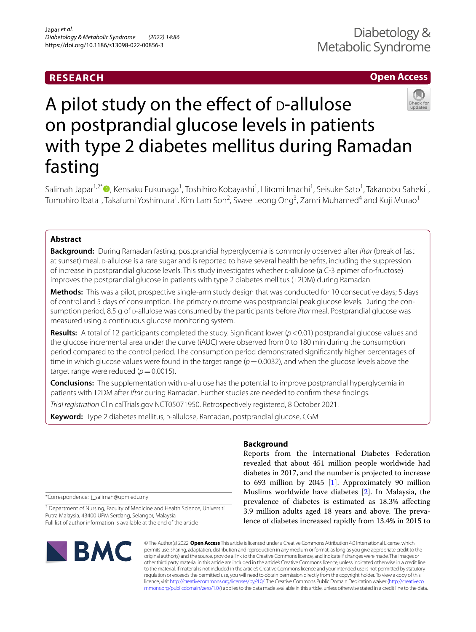# **RESEARCH**

# **Open Access**



# A pilot study on the effect of  $D$ -allulose on postprandial glucose levels in patients with type 2 diabetes mellitus during Ramadan fasting

Salimah Japar<sup>1,2[\\*](http://orcid.org/0000-0001-9609-028X)</sup>®, Kensaku Fukunaga<sup>1</sup>, Toshihiro Kobayashi<sup>1</sup>, Hitomi Imachi<sup>1</sup>, Seisuke Sato<sup>1</sup>, Takanobu Saheki<sup>1</sup>, Tomohiro Ibata<sup>1</sup>, Takafumi Yoshimura<sup>1</sup>, Kim Lam Soh<sup>2</sup>, Swee Leong Ong<sup>3</sup>, Zamri Muhamed<sup>4</sup> and Koji Murao<sup>1</sup>

# **Abstract**

**Background:** During Ramadan fasting, postprandial hyperglycemia is commonly observed after *iftar* (break of fast at sunset) meal. p-allulose is a rare sugar and is reported to have several health benefits, including the suppression of increase in postprandial glucose levels. This study investigates whether p-allulose (a C-3 epimer of p-fructose) improves the postprandial glucose in patients with type 2 diabetes mellitus (T2DM) during Ramadan.

**Methods:** This was a pilot, prospective single-arm study design that was conducted for 10 consecutive days; 5 days of control and 5 days of consumption. The primary outcome was postprandial peak glucose levels. During the consumption period, 8.5 g of d-allulose was consumed by the participants before *iftar* meal. Postprandial glucose was measured using a continuous glucose monitoring system.

**Results:** A total of 12 participants completed the study. Significant lower ( $p$  < 0.01) postprandial glucose values and the glucose incremental area under the curve (iAUC) were observed from 0 to 180 min during the consumption period compared to the control period. The consumption period demonstrated signifcantly higher percentages of time in which glucose values were found in the target range  $(p=0.0032)$ , and when the glucose levels above the target range were reduced  $(p=0.0015)$ .

**Conclusions:** The supplementation with p-allulose has the potential to improve postprandial hyperglycemia in patients with T2DM after *iftar* during Ramadan. Further studies are needed to confrm these fndings.

*Trial registration* ClinicalTrials.gov NCT05071950. Retrospectively registered, 8 October 2021.

**Keyword:** Type 2 diabetes mellitus, p-allulose, Ramadan, postprandial glucose, CGM

\*Correspondence: j\_salimah@upm.edu.my

<sup>2</sup> Department of Nursing, Faculty of Medicine and Health Science, Universiti Putra Malaysia, 43400 UPM Serdang, Selangor, Malaysia Full list of author information is available at the end of the article



# **Background**

Reports from the International Diabetes Federation revealed that about 451 million people worldwide had diabetes in 2017, and the number is projected to increase to 693 million by 2045 [[1\]](#page-6-0). Approximately 90 million Muslims worldwide have diabetes [\[2](#page-6-1)]. In Malaysia, the prevalence of diabetes is estimated as 18.3% afecting 3.9 million adults aged 18 years and above. The prevalence of diabetes increased rapidly from 13.4% in 2015 to

© The Author(s) 2022. **Open Access** This article is licensed under a Creative Commons Attribution 4.0 International License, which permits use, sharing, adaptation, distribution and reproduction in any medium or format, as long as you give appropriate credit to the original author(s) and the source, provide a link to the Creative Commons licence, and indicate if changes were made. The images or other third party material in this article are included in the article's Creative Commons licence, unless indicated otherwise in a credit line to the material. If material is not included in the article's Creative Commons licence and your intended use is not permitted by statutory regulation or exceeds the permitted use, you will need to obtain permission directly from the copyright holder. To view a copy of this licence, visit [http://creativecommons.org/licenses/by/4.0/.](http://creativecommons.org/licenses/by/4.0/) The Creative Commons Public Domain Dedication waiver ([http://creativeco](http://creativecommons.org/publicdomain/zero/1.0/) [mmons.org/publicdomain/zero/1.0/](http://creativecommons.org/publicdomain/zero/1.0/)) applies to the data made available in this article, unless otherwise stated in a credit line to the data.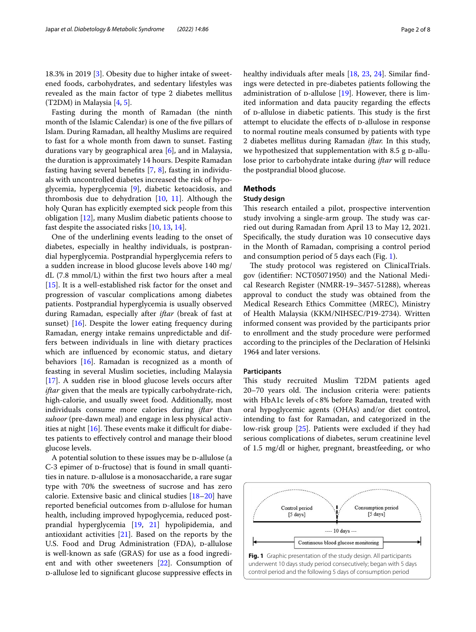18.3% in 2019 [[3\]](#page-6-2). Obesity due to higher intake of sweetened foods, carbohydrates, and sedentary lifestyles was revealed as the main factor of type 2 diabetes mellitus (T2DM) in Malaysia [\[4](#page-6-3), [5\]](#page-6-4).

Fasting during the month of Ramadan (the ninth month of the Islamic Calendar) is one of the five pillars of Islam. During Ramadan, all healthy Muslims are required to fast for a whole month from dawn to sunset. Fasting durations vary by geographical area [[6\]](#page-6-5), and in Malaysia, the duration is approximately 14 hours. Despite Ramadan fasting having several benefts [[7](#page-6-6), [8\]](#page-6-7), fasting in individuals with uncontrolled diabetes increased the risk of hypoglycemia, hyperglycemia [[9\]](#page-7-0), diabetic ketoacidosis, and thrombosis due to dehydration  $[10, 11]$  $[10, 11]$  $[10, 11]$  $[10, 11]$  $[10, 11]$ . Although the holy Quran has explicitly exempted sick people from this obligation [[12](#page-7-3)], many Muslim diabetic patients choose to fast despite the associated risks [\[10](#page-7-1), [13,](#page-7-4) [14](#page-7-5)].

One of the underlining events leading to the onset of diabetes, especially in healthy individuals, is postprandial hyperglycemia. Postprandial hyperglycemia refers to a sudden increase in blood glucose levels above 140 mg/ dL (7.8 mmol/L) within the frst two hours after a meal [[15\]](#page-7-6). It is a well-established risk factor for the onset and progression of vascular complications among diabetes patients. Postprandial hyperglycemia is usually observed during Ramadan, especially after *iftar* (break of fast at sunset) [[16\]](#page-7-7). Despite the lower eating frequency during Ramadan, energy intake remains unpredictable and differs between individuals in line with dietary practices which are infuenced by economic status, and dietary behaviors [[16\]](#page-7-7). Ramadan is recognized as a month of feasting in several Muslim societies, including Malaysia [[17\]](#page-7-8). A sudden rise in blood glucose levels occurs after *iftar* given that the meals are typically carbohydrate-rich, high-calorie, and usually sweet food. Additionally, most individuals consume more calories during *iftar* than *suhoor* (pre-dawn meal) and engage in less physical activities at night  $[16]$  $[16]$  $[16]$ . These events make it difficult for diabetes patients to efectively control and manage their blood glucose levels.

A potential solution to these issues may be D-allulose (a  $C-3$  epimer of  $D$ -fructose) that is found in small quantities in nature. D-allulose is a monosaccharide, a rare sugar type with 70% the sweetness of sucrose and has zero calorie. Extensive basic and clinical studies [\[18–](#page-7-9)[20\]](#page-7-10) have reported beneficial outcomes from D-allulose for human health, including improved hypoglycemia, reduced postprandial hyperglycemia [[19](#page-7-11), [21\]](#page-7-12) hypolipidemia, and antioxidant activities [[21\]](#page-7-12). Based on the reports by the U.S. Food and Drug Administration (FDA), D-allulose is well-known as safe (GRAS) for use as a food ingredient and with other sweeteners [\[22\]](#page-7-13). Consumption of d-allulose led to signifcant glucose suppressive efects in healthy individuals after meals [[18](#page-7-9), [23,](#page-7-14) [24\]](#page-7-15). Similar findings were detected in pre-diabetes patients following the administration of  $p$ -allulose [[19\]](#page-7-11). However, there is limited information and data paucity regarding the efects of p-allulose in diabetic patients. This study is the first attempt to elucidate the effects of D-allulose in response to normal routine meals consumed by patients with type 2 diabetes mellitus during Ramadan *iftar.* In this study, we hypothesized that supplementation with  $8.5$  g  $p$ -allulose prior to carbohydrate intake during *iftar* will reduce the postprandial blood glucose.

# **Methods**

# **Study design**

This research entailed a pilot, prospective intervention study involving a single-arm group. The study was carried out during Ramadan from April 13 to May 12, 2021. Specifcally, the study duration was 10 consecutive days in the Month of Ramadan, comprising a control period and consumption period of 5 days each (Fig. [1\)](#page-1-0).

The study protocol was registered on ClinicalTrials. gov (identifer: NCT05071950) and the National Medical Research Register (NMRR-19–3457-51288), whereas approval to conduct the study was obtained from the Medical Research Ethics Committee (MREC), Ministry of Health Malaysia (KKM/NIHSEC/P19-2734). Written informed consent was provided by the participants prior to enrollment and the study procedure were performed according to the principles of the Declaration of Helsinki 1964 and later versions.

#### **Participants**

This study recruited Muslim T2DM patients aged 20–70 years old. The inclusion criteria were: patients with HbA1c levels of<8% before Ramadan, treated with oral hypoglycemic agents (OHAs) and/or diet control, intending to fast for Ramadan, and categorized in the low-risk group [\[25](#page-7-16)]. Patients were excluded if they had serious complications of diabetes, serum creatinine level of 1.5 mg/dl or higher, pregnant, breastfeeding, or who

<span id="page-1-0"></span>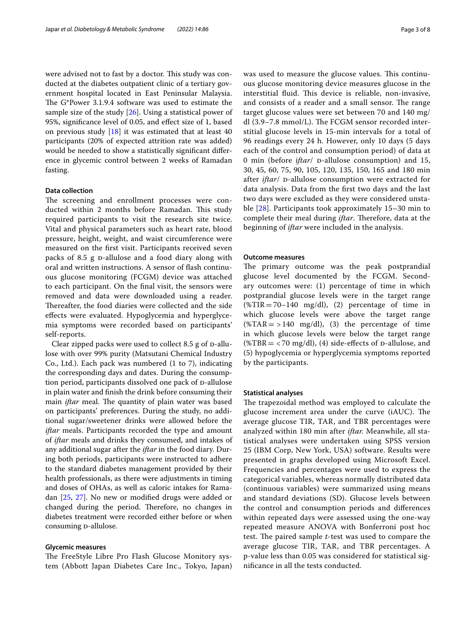were advised not to fast by a doctor. This study was conducted at the diabetes outpatient clinic of a tertiary government hospital located in East Peninsular Malaysia. The G\*Power 3.1.9.4 software was used to estimate the sample size of the study [[26\]](#page-7-17). Using a statistical power of 95%, signifcance level of 0.05, and efect size of 1, based on previous study  $[18]$  $[18]$  $[18]$  it was estimated that at least 40 participants (20% of expected attrition rate was added) would be needed to show a statistically signifcant diference in glycemic control between 2 weeks of Ramadan fasting.

# **Data collection**

The screening and enrollment processes were conducted within 2 months before Ramadan. This study required participants to visit the research site twice. Vital and physical parameters such as heart rate, blood pressure, height, weight, and waist circumference were measured on the frst visit. Participants received seven packs of 8.5 g D-allulose and a food diary along with oral and written instructions. A sensor of fash continuous glucose monitoring (FCGM) device was attached to each participant. On the fnal visit, the sensors were removed and data were downloaded using a reader. Thereafter, the food diaries were collected and the side efects were evaluated. Hypoglycemia and hyperglycemia symptoms were recorded based on participants' self-reports.

Clear zipped packs were used to collect  $8.5$  g of  $p$ -allulose with over 99% purity (Matsutani Chemical Industry Co., Ltd.). Each pack was numbered (1 to 7), indicating the corresponding days and dates. During the consumption period, participants dissolved one pack of D-allulose in plain water and fnish the drink before consuming their main *iftar* meal. The quantity of plain water was based on participants' preferences. During the study, no additional sugar/sweetener drinks were allowed before the *iftar* meals. Participants recorded the type and amount of *iftar* meals and drinks they consumed, and intakes of any additional sugar after the *iftar* in the food diary. During both periods, participants were instructed to adhere to the standard diabetes management provided by their health professionals, as there were adjustments in timing and doses of OHAs, as well as caloric intakes for Ramadan [[25,](#page-7-16) [27](#page-7-18)]. No new or modifed drugs were added or changed during the period. Therefore, no changes in diabetes treatment were recorded either before or when consuming *p*-allulose.

#### **Glycemic measures**

The FreeStyle Libre Pro Flash Glucose Monitory system (Abbott Japan Diabetes Care Inc., Tokyo, Japan) was used to measure the glucose values. This continuous glucose monitoring device measures glucose in the interstitial fluid. This device is reliable, non-invasive, and consists of a reader and a small sensor. The range target glucose values were set between 70 and 140 mg/ dl  $(3.9-7.8 \text{ mmol/L})$ . The FCGM sensor recorded interstitial glucose levels in 15-min intervals for a total of 96 readings every 24 h. However, only 10 days (5 days each of the control and consumption period) of data at 0 min (before iftar/ D-allulose consumption) and 15, 30, 45, 60, 75, 90, 105, 120, 135, 150, 165 and 180 min after *iftar*/ p-allulose consumption were extracted for data analysis. Data from the frst two days and the last two days were excluded as they were considered unstable [[28\]](#page-7-19). Participants took approximately 15–30 min to complete their meal during *iftar*. Therefore, data at the beginning of *iftar* were included in the analysis.

## **Outcome measures**

The primary outcome was the peak postprandial glucose level documented by the FCGM. Secondary outcomes were: (1) percentage of time in which postprandial glucose levels were in the target range  $(\text{WTIR} = 70 - 140 \text{ mg/dl})$ , (2) percentage of time in which glucose levels were above the target range  $(\text{ATAR} = > 140 \text{ mg/dl})$ , (3) the percentage of time in which glucose levels were below the target range (%TBR =  $<$  70 mg/dl), (4) side-effects of p-allulose, and (5) hypoglycemia or hyperglycemia symptoms reported by the participants.

## **Statistical analyses**

The trapezoidal method was employed to calculate the glucose increment area under the curve (iAUC). The average glucose TIR, TAR, and TBR percentages were analyzed within 180 min after *iftar.* Meanwhile, all statistical analyses were undertaken using SPSS version 25 (IBM Corp, New York, USA) software. Results were presented in graphs developed using Microsoft Excel. Frequencies and percentages were used to express the categorical variables, whereas normally distributed data (continuous variables) were summarized using means and standard deviations (SD). Glucose levels between the control and consumption periods and diferences within repeated days were assessed using the one-way repeated measure ANOVA with Bonferroni post hoc test. The paired sample *t*-test was used to compare the average glucose TIR, TAR, and TBR percentages. A p-value less than 0.05 was considered for statistical signifcance in all the tests conducted.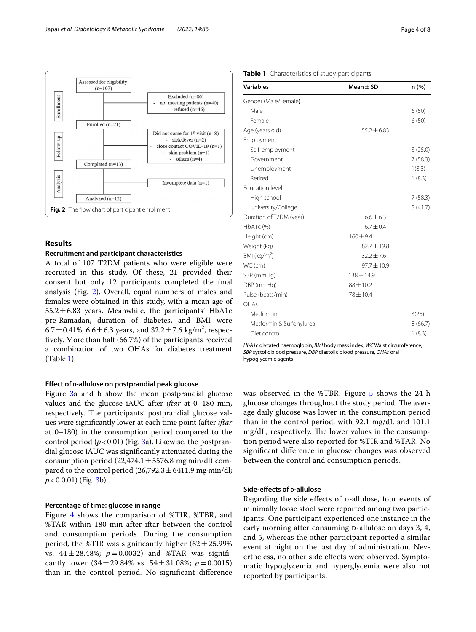

# <span id="page-3-0"></span>**Results**

## **Recruitment and participant characteristics**

A total of 107 T2DM patients who were eligible were recruited in this study. Of these, 21 provided their consent but only 12 participants completed the fnal analysis (Fig. [2](#page-3-0)). Overall, equal numbers of males and females were obtained in this study, with a mean age of  $55.2 \pm 6.83$  years. Meanwhile, the participants' HbA1c pre-Ramadan, duration of diabetes, and BMI were  $6.7 \pm 0.41\%$ ,  $6.6 \pm 6.3$  years, and  $32.2 \pm 7.6$  kg/m<sup>2</sup>, respectively. More than half (66.7%) of the participants received a combination of two OHAs for diabetes treatment (Table [1](#page-3-1)).

# **Efect of d‑allulose on postprandial peak glucose**

Figure [3](#page-4-0)a and b show the mean postprandial glucose values and the glucose iAUC after *iftar* at 0–180 min, respectively. The participants' postprandial glucose values were signifcantly lower at each time point (after *iftar* at 0–180) in the consumption period compared to the control period  $(p < 0.01)$  (Fig. [3](#page-4-0)a). Likewise, the postprandial glucose iAUC was signifcantly attenuated during the consumption period (22,474.1±5576.8 mg∙min/dl) compared to the control period (26,792.3 ± 6411.9 mg⋅min/dl; *p*<0 0.01) (Fig. [3b](#page-4-0)).

# **Percentage of time: glucose in range**

Figure [4](#page-4-1) shows the comparison of %TIR, %TBR, and %TAR within 180 min after iftar between the control and consumption periods. During the consumption period, the %TIR was significantly higher  $(62 \pm 25.99\%)$ vs.  $44 \pm 28.48$ %;  $p = 0.0032$ ) and %TAR was significantly lower  $(34 \pm 29.84\% \text{ vs. } 54 \pm 31.08\%; p = 0.0015)$ than in the control period. No signifcant diference

# <span id="page-3-1"></span>**Table 1** Characteristics of study participants

| <b>Variables</b>         | Mean $\pm$ SD   | n (%)   |
|--------------------------|-----------------|---------|
| Gender (Male/Female)     |                 |         |
| Male                     |                 | 6(50)   |
| Female                   |                 | 6(50)   |
| Age (years old)          | $55.2 \pm 6.83$ |         |
| Employment               |                 |         |
| Self-employment          |                 | 3(25.0) |
| Government               |                 | 7(58.3) |
| Unemployment             |                 | 1(8.3)  |
| Retired                  |                 | 1(8.3)  |
| <b>Education level</b>   |                 |         |
| High school              |                 | 7(58.3) |
| University/College       |                 | 5(41.7) |
| Duration of T2DM (year)  | $6.6 \pm 6.3$   |         |
| HbA1c (%)                | $6.7 \pm 0.41$  |         |
| Height (cm)              | $160 + 9.4$     |         |
| Weight (kg)              | $82.7 \pm 19.8$ |         |
| BMI ( $kg/m2$ )          | $32.2 \pm 7.6$  |         |
| WC (cm)                  | $97.7 \pm 10.9$ |         |
| SBP (mmHg)               | $138 \pm 14.9$  |         |
| DBP (mmHg)               | $88 \pm 10.2$   |         |
| Pulse (beats/min)        | $78 \pm 10.4$   |         |
| OHAs                     |                 |         |
| Metformin                |                 | 3(25)   |
| Metformin & Sulfonylurea |                 | 8(66.7) |
| Diet control             |                 | 1(8.3)  |

*HbA1c* glycated haemoglobin, *BMI* body mass index, *WC* Waist circumference, *SBP* systolic blood pressure, *DBP* diastolic blood pressure, *OHAs* oral hypoglycemic agents

was observed in the %TBR. Figure [5](#page-5-0) shows the 24-h glucose changes throughout the study period. The average daily glucose was lower in the consumption period than in the control period, with 92.1 mg/dL and 101.1 mg/dL, respectively. The lower values in the consumption period were also reported for %TIR and %TAR. No signifcant diference in glucose changes was observed between the control and consumption periods.

# **Side-effects of <b>p**-allulose

Regarding the side effects of p-allulose, four events of minimally loose stool were reported among two participants. One participant experienced one instance in the early morning after consuming p-allulose on days 3, 4, and 5, whereas the other participant reported a similar event at night on the last day of administration. Nevertheless, no other side efects were observed. Symptomatic hypoglycemia and hyperglycemia were also not reported by participants.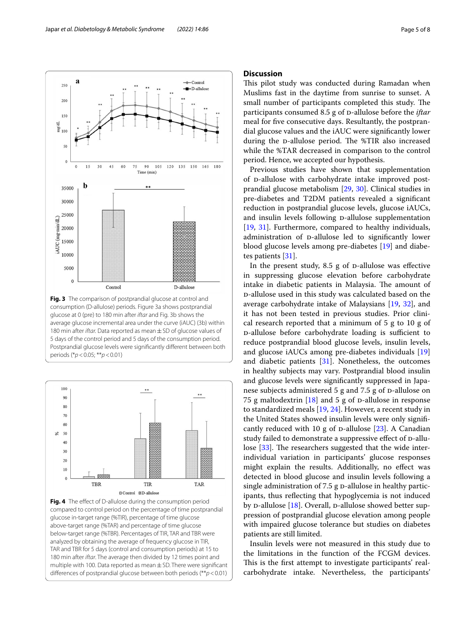

<span id="page-4-0"></span>5 days of the control period and 5 days of the consumption period. Postprandial glucose levels were signifcantly diferent between both periods (\**p*<0.05; \*\**p*<0.01)



<span id="page-4-1"></span>**Fig. 4** The effect of D-allulose during the consumption period compared to control period on the percentage of time postprandial glucose in-target range (%TIR), percentage of time glucose above-target range (%TAR) and percentage of time glucose below-target range (%TBR). Percentages of TIR, TAR and TBR were analyzed by obtaining the average of frequency glucose in TIR, TAR and TBR for 5 days (control and consumption periods) at 15 to 180 min after *iftar*. The average then divided by 12 times point and multiple with 100. Data reported as mean  $\pm$  SD. There were significant diferences of postprandial glucose between both periods (\*\**p*<0.01)

# **Discussion**

This pilot study was conducted during Ramadan when Muslims fast in the daytime from sunrise to sunset. A small number of participants completed this study. The participants consumed 8.5 g of D-allulose before the *iftar* meal for fve consecutive days. Resultantly, the postprandial glucose values and the iAUC were signifcantly lower during the p-allulose period. The %TIR also increased while the %TAR decreased in comparison to the control period. Hence, we accepted our hypothesis.

Previous studies have shown that supplementation of p-allulose with carbohydrate intake improved postprandial glucose metabolism [\[29](#page-7-20), [30](#page-7-21)]. Clinical studies in pre-diabetes and T2DM patients revealed a signifcant reduction in postprandial glucose levels, glucose iAUCs, and insulin levels following D-allulose supplementation [[19,](#page-7-11) [31\]](#page-7-22). Furthermore, compared to healthy individuals, administration of p-allulose led to significantly lower blood glucose levels among pre-diabetes [[19](#page-7-11)] and diabetes patients [[31](#page-7-22)].

In the present study,  $8.5$  g of  $p$ -allulose was effective in suppressing glucose elevation before carbohydrate intake in diabetic patients in Malaysia. The amount of d-allulose used in this study was calculated based on the average carbohydrate intake of Malaysians [[19,](#page-7-11) [32](#page-7-23)], and it has not been tested in previous studies. Prior clinical research reported that a minimum of 5 g to 10 g of  $p$ -allulose before carbohydrate loading is sufficient to reduce postprandial blood glucose levels, insulin levels, and glucose iAUCs among pre-diabetes individuals [[19](#page-7-11)] and diabetic patients [[31\]](#page-7-22). Nonetheless, the outcomes in healthy subjects may vary. Postprandial blood insulin and glucose levels were signifcantly suppressed in Japanese subjects administered 5 g and 7.5 g of D-allulose on 75 g maltodextrin  $[18]$  $[18]$  and 5 g of D-allulose in response to standardized meals [\[19](#page-7-11), [24](#page-7-15)]. However, a recent study in the United States showed insulin levels were only signifcantly reduced with 10 g of  $D$ -allulose [[23](#page-7-14)]. A Canadian study failed to demonstrate a suppressive effect of  $p$ -allulose  $[33]$  $[33]$ . The researchers suggested that the wide interindividual variation in participants' glucose responses might explain the results. Additionally, no efect was detected in blood glucose and insulin levels following a single administration of  $7.5$  g  $p$ -allulose in healthy participants, thus refecting that hypoglycemia is not induced by  $p$ -allulose [\[18](#page-7-9)]. Overall,  $p$ -allulose showed better suppression of postprandial glucose elevation among people with impaired glucose tolerance but studies on diabetes patients are still limited.

Insulin levels were not measured in this study due to the limitations in the function of the FCGM devices. This is the first attempt to investigate participants' realcarbohydrate intake. Nevertheless, the participants'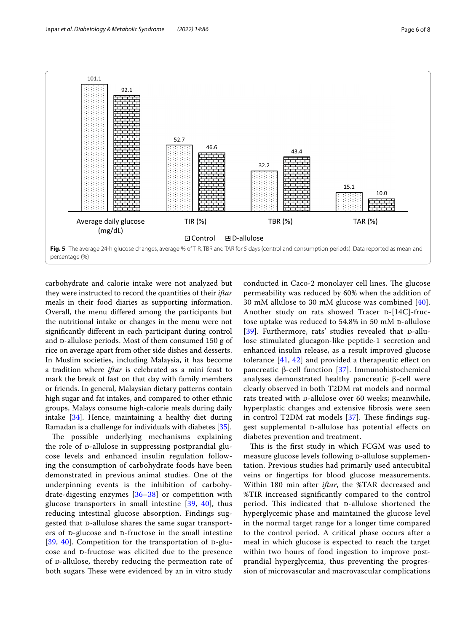

<span id="page-5-0"></span>carbohydrate and calorie intake were not analyzed but they were instructed to record the quantities of their *iftar* meals in their food diaries as supporting information. Overall, the menu difered among the participants but the nutritional intake or changes in the menu were not signifcantly diferent in each participant during control and p-allulose periods. Most of them consumed 150 g of rice on average apart from other side dishes and desserts. In Muslim societies, including Malaysia, it has become a tradition where *iftar* is celebrated as a mini feast to mark the break of fast on that day with family members or friends. In general, Malaysian dietary patterns contain high sugar and fat intakes, and compared to other ethnic groups, Malays consume high-calorie meals during daily intake [[34\]](#page-7-25). Hence, maintaining a healthy diet during Ramadan is a challenge for individuals with diabetes [[35\]](#page-7-26).

The possible underlying mechanisms explaining the role of p-allulose in suppressing postprandial glucose levels and enhanced insulin regulation following the consumption of carbohydrate foods have been demonstrated in previous animal studies. One of the underpinning events is the inhibition of carbohydrate-digesting enzymes [[36–](#page-7-27)[38](#page-7-28)] or competition with glucose transporters in small intestine  $[39, 40]$  $[39, 40]$  $[39, 40]$  $[39, 40]$ , thus reducing intestinal glucose absorption. Findings suggested that D-allulose shares the same sugar transporters of p-glucose and p-fructose in the small intestine [[39](#page-7-29), [40](#page-7-30)]. Competition for the transportation of  $p$ -glucose and D-fructose was elicited due to the presence of p-allulose, thereby reducing the permeation rate of both sugars These were evidenced by an in vitro study conducted in Caco-2 monolayer cell lines. The glucose permeability was reduced by 60% when the addition of 30 mM allulose to 30 mM glucose was combined [[40\]](#page-7-30). Another study on rats showed Tracer  $D-[14C]$ -fructose uptake was reduced to 54.8% in 50 mM p-allulose [ $39$ ]. Furthermore, rats' studies revealed that  $p$ -allulose stimulated glucagon-like peptide-1 secretion and enhanced insulin release, as a result improved glucose tolerance  $[41, 42]$  $[41, 42]$  $[41, 42]$  $[41, 42]$  and provided a therapeutic effect on pancreatic β-cell function [[37\]](#page-7-33). Immunohistochemical analyses demonstrated healthy pancreatic β-cell were clearly observed in both T2DM rat models and normal rats treated with p-allulose over 60 weeks; meanwhile, hyperplastic changes and extensive fbrosis were seen in control T2DM rat models  $[37]$  $[37]$ . These findings suggest supplemental p-allulose has potential effects on diabetes prevention and treatment.

This is the first study in which FCGM was used to measure glucose levels following p-allulose supplementation. Previous studies had primarily used antecubital veins or fngertips for blood glucose measurements. Within 180 min after *iftar*, the %TAR decreased and %TIR increased signifcantly compared to the control period. This indicated that p-allulose shortened the hyperglycemic phase and maintained the glucose level in the normal target range for a longer time compared to the control period. A critical phase occurs after a meal in which glucose is expected to reach the target within two hours of food ingestion to improve postprandial hyperglycemia, thus preventing the progression of microvascular and macrovascular complications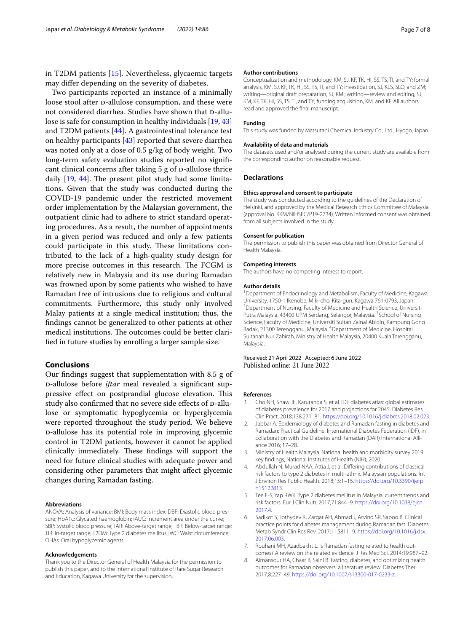in T2DM patients [[15](#page-7-6)]. Nevertheless, glycaemic targets may difer depending on the severity of diabetes.

Two participants reported an instance of a minimally loose stool after p-allulose consumption, and these were not considered diarrhea. Studies have shown that D-allulose is safe for consumption in healthy individuals [\[19](#page-7-11), [43](#page-7-34)] and T2DM patients [[44\]](#page-7-35). A gastrointestinal tolerance test on healthy participants [\[43](#page-7-34)] reported that severe diarrhea was noted only at a dose of 0.5 g/kg of body weight. Two long-term safety evaluation studies reported no signifcant clinical concerns after taking 5 g of D-allulose thrice daily  $[19, 44]$  $[19, 44]$  $[19, 44]$ . The present pilot study had some limitations. Given that the study was conducted during the COVID-19 pandemic under the restricted movement order implementation by the Malaysian government, the outpatient clinic had to adhere to strict standard operating procedures. As a result, the number of appointments in a given period was reduced and only a few patients could participate in this study. These limitations contributed to the lack of a high-quality study design for more precise outcomes in this research. The FCGM is relatively new in Malaysia and its use during Ramadan was frowned upon by some patients who wished to have Ramadan free of intrusions due to religious and cultural commitments. Furthermore, this study only involved Malay patients at a single medical institution; thus, the fndings cannot be generalized to other patients at other medical institutions. The outcomes could be better clarifed in future studies by enrolling a larger sample size.

# **Conclusions**

Our fndings suggest that supplementation with 8.5 g of d-allulose before *iftar* meal revealed a signifcant suppressive effect on postprandial glucose elevation. This study also confirmed that no severe side effects of D-allulose or symptomatic hypoglycemia or hyperglycemia were reported throughout the study period. We believe d-allulose has its potential role in improving glycemic control in T2DM patients, however it cannot be applied clinically immediately. These findings will support the need for future clinical studies with adequate power and considering other parameters that might afect glycemic changes during Ramadan fasting.

#### **Abbreviations**

ANOVA: Analysis of variance; BMI: Body mass index; DBP: Diastolic blood pressure; HbA1c: Glycated haemoglobin; iAUC: Increment area under the curve; SBP: Systolic blood pressure; TAR: Above-target range; TBR: Below-target range; TIR: In-target range; T2DM: Type 2 diabetes mellitus.; WC: Waist circumference; OHAs: Oral hypoglycemic agents.

## **Acknowledgements**

Thank you to the Director General of Health Malaysia for the permission to publish this paper, and to the International Institute of Rare Sugar Research and Education, Kagawa University for the supervision.

#### **Author contributions**

Conceptualization and methodology, KM, SJ, KF, TK, HI, SS, TS, TI, and TY; formal analysis, KM, SJ, KF, TK, HI, SS, TS, TI, and TY; investigation, SJ, KLS, SLO, and ZM; writing—original draft preparation, SJ, KM.; writing—review and editing, SJ, KM, KF, TK, HI, SS, TS, TI, and TY; funding acquisition, KM. and KF. All authors read and approved the fnal manuscript.

#### **Funding**

This study was funded by Matsutani Chemical Industry Co., Ltd., Hyogo, Japan.

#### **Availability of data and materials**

The datasets used and/or analysed during the current study are available from the corresponding author on reasonable request.

#### **Declarations**

#### **Ethics approval and consent to participate**

The study was conducted according to the guidelines of the Declaration of Helsinki, and approved by the Medical Research Ethics Committee of Malaysia (approval No. KKM/NIHSEC/P19-2734). Written informed consent was obtained from all subjects involved in the study.

#### **Consent for publication**

The permission to publish this paper was obtained from Director General of Health Malaysia.

#### **Competing interests**

The authors have no competing interest to report.

#### **Author details**

<sup>1</sup> Department of Endocrinology and Metabolism, Faculty of Medicine, Kagawa University, 1750-1 Ikenobe, Miki-cho, Kita-gun, Kagawa 761-0793, Japan. 2 <sup>2</sup> Department of Nursing, Faculty of Medicine and Health Science, Universiti Putra Malaysia, 43400 UPM Serdang, Selangor, Malaysia. <sup>3</sup>School of Nursing Science, Faculty of Medicine, Universiti Sultan Zainal Abidin, Kampung Gong Badak, 21300 Terengganu, Malaysia. 4 Department of Medicine, Hospital Sultanah Nur Zahirah, Ministry of Health Malaysia, 20400 Kuala Terengganu, Malaysia.

Received: 21 April 2022 Accepted: 6 June 2022 Published online: 21 June 2022

## **References**

- <span id="page-6-0"></span>1. Cho NH, Shaw JE, Karuranga S, et al. IDF diabetes atlas: global estimates of diabetes prevalence for 2017 and projections for 2045. Diabetes Res Clin Pract. 2018;138:271–81. <https://doi.org/10.1016/j.diabres.2018.02.023>.
- <span id="page-6-1"></span>2. Jabbar A. Epidemiology of diabetes and Ramadan fasting in diabetes and Ramadan: Practical Guideline. International Diabetes Federation (IDF), in collaboration with the Diabetes and Ramadan (DAR) International Alliance 2016; 17–28.
- <span id="page-6-2"></span>3. Ministry of Health Malaysia. National health and morbidity survey 2019: key fndings, National Institutes of Health (NIH); 2020.
- <span id="page-6-3"></span>4. Abdullah N, Murad NAA, Attia J, et al. Difering contributions of classical risk factors to type 2 diabetes in multi-ethnic Malaysian populations. Int J Environ Res Public Health. 2018;15:1–15. [https://doi.org/10.3390/ijerp](https://doi.org/10.3390/ijerph15122813) [h15122813](https://doi.org/10.3390/ijerph15122813).
- <span id="page-6-4"></span>5. Tee E-S, Yap RWK. Type 2 diabetes mellitus in Malaysia: current trends and risk factors. Eur J Clin Nutr. 2017;71:844–9. [https://doi.org/10.1038/ejcn.](https://doi.org/10.1038/ejcn.2017.4) [2017.4](https://doi.org/10.1038/ejcn.2017.4).
- <span id="page-6-5"></span>6. Sadikot S, Jothydev K, Zargar AH, Ahmad J, Arvind SR, Saboo B. Clinical practice points for diabetes management during Ramadan fast. Diabetes Metab Syndr Clin Res Rev. 2017;11:S811–9. [https://doi.org/10.1016/j.dsx.](https://doi.org/10.1016/j.dsx.2017.06.003) [2017.06.003](https://doi.org/10.1016/j.dsx.2017.06.003).
- <span id="page-6-6"></span>7. Rouhani MH, Azadbakht L. Is Ramadan fasting related to health outcomes? A review on the related evidence. J Res Med Sci. 2014;19:987–92.
- <span id="page-6-7"></span>8. Almansour HA, Chaar B, Saini B. Fasting, diabetes, and optimizing health outcomes for Ramadan observers: a literature review. Diabetes Ther. 2017;8:227–49. [https://doi.org/10.1007/s13300-017-0233-z.](https://doi.org/10.1007/s13300-017-0233-z)